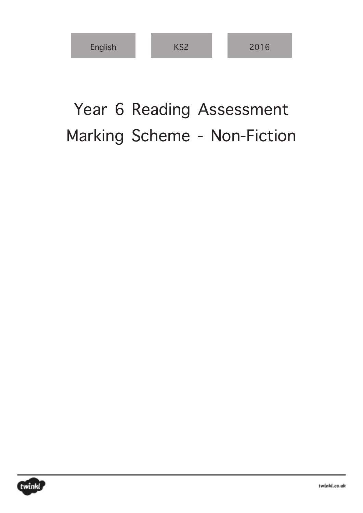| English | パワク | 2016 |
|---------|-----|------|
|---------|-----|------|

## Year 6 Reading Assessment Marking Scheme - Non-Fiction

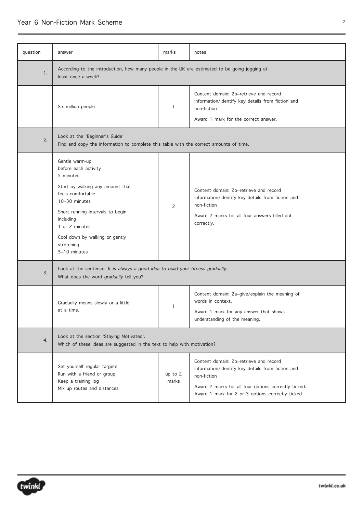## Year 6 Non-Fiction Mark Scheme 22

| question | answer                                                                                                                                                                                                                                                           | marks              | notes                                                                                                                                                                                                                   |
|----------|------------------------------------------------------------------------------------------------------------------------------------------------------------------------------------------------------------------------------------------------------------------|--------------------|-------------------------------------------------------------------------------------------------------------------------------------------------------------------------------------------------------------------------|
| 1.       | According to the introduction, how many people in the UK are estimated to be going jogging at<br>least once a week?                                                                                                                                              |                    |                                                                                                                                                                                                                         |
|          | Six million people                                                                                                                                                                                                                                               | 1                  | Content domain: 2b-retrieve and record<br>information/identify key details from fiction and<br>non-fiction<br>Award 1 mark for the correct answer.                                                                      |
| 2.       | Look at the 'Beginner's Guide'<br>Find and copy the information to complete this table with the correct amounts of time.                                                                                                                                         |                    |                                                                                                                                                                                                                         |
|          | Gentle warm-up<br>before each activity<br>5 minutes<br>Start by walking any amount that<br>feels comfortable<br>10-30 minutes<br>Short running intervals to begin<br>including<br>1 or 2 minutes<br>Cool down by walking or gently<br>stretching<br>5-10 minutes | $\mathsf{S}$       | Content domain: 2b-retrieve and record<br>information/identify key details from fiction and<br>non-fiction<br>Award 2 marks for all four answers filled out<br>correctly.                                               |
| 3.       | Look at the sentence: It is always a good idea to build your fitness gradually.<br>What does the word gradually tell you?                                                                                                                                        |                    |                                                                                                                                                                                                                         |
|          | Gradually means slowly or a little<br>at a time.                                                                                                                                                                                                                 | 1                  | Content domain: 2a-give/explain the meaning of<br>words in context.<br>Award 1 mark for any answer that shows<br>understanding of the meaning.                                                                          |
| 4.       | Look at the section 'Staying Motivated'.<br>Which of these ideas are suggested in the text to help with motivation?                                                                                                                                              |                    |                                                                                                                                                                                                                         |
|          | Set yourself regular targets<br>Run with a friend or group<br>Keep a training log<br>Mix up routes and distances                                                                                                                                                 | up to $2$<br>marks | Content domain: 2b-retrieve and record<br>information/identify key details from fiction and<br>non-fiction<br>Award 2 marks for all four options correctly ticked.<br>Award 1 mark for 2 or 3 options correctly ticked. |

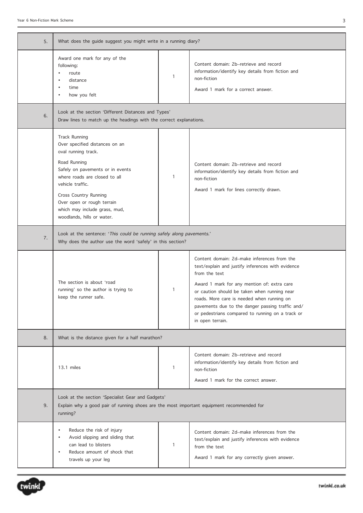| 5. | What does the guide suggest you might write in a running diary?                                                                                                                                                                                                                                              |              |                                                                                                                                                                                                                                                                                                                                                                                            |
|----|--------------------------------------------------------------------------------------------------------------------------------------------------------------------------------------------------------------------------------------------------------------------------------------------------------------|--------------|--------------------------------------------------------------------------------------------------------------------------------------------------------------------------------------------------------------------------------------------------------------------------------------------------------------------------------------------------------------------------------------------|
|    | Award one mark for any of the<br>following:<br>route<br>distance<br>time<br>٠<br>how you felt                                                                                                                                                                                                                | 1            | Content domain: 2b–retrieve and record<br>information/identify key details from fiction and<br>non-fiction<br>Award 1 mark for a correct answer.                                                                                                                                                                                                                                           |
| 6. | Look at the section 'Different Distances and Types'<br>Draw lines to match up the headings with the correct explanations.                                                                                                                                                                                    |              |                                                                                                                                                                                                                                                                                                                                                                                            |
|    | <b>Track Running</b><br>Over specified distances on an<br>oval running track.<br>Road Running<br>Safely on pavements or in events<br>where roads are closed to all<br>vehicle traffic.<br>Cross Country Running<br>Over open or rough terrain<br>which may include grass, mud,<br>woodlands, hills or water. | $\mathbf{1}$ | Content domain: 2b-retrieve and record<br>information/identify key details from fiction and<br>non-fiction<br>Award 1 mark for lines correctly drawn.                                                                                                                                                                                                                                      |
| 7. | Look at the sentence: 'This could be running safely along pavements.'<br>Why does the author use the word 'safely' in this section?                                                                                                                                                                          |              |                                                                                                                                                                                                                                                                                                                                                                                            |
|    | The section is about 'road<br>running' so the author is trying to<br>keep the runner safe.                                                                                                                                                                                                                   | 1            | Content domain: 2d-make inferences from the<br>text/explain and justify inferences with evidence<br>from the text<br>Award 1 mark for any mention of: extra care<br>or caution should be taken when running near<br>roads. More care is needed when running on<br>pavements due to the danger passing traffic and/<br>or pedestrians compared to running on a track or<br>in open terrain. |
| 8. | What is the distance given for a half marathon?                                                                                                                                                                                                                                                              |              |                                                                                                                                                                                                                                                                                                                                                                                            |
|    | 13.1 miles                                                                                                                                                                                                                                                                                                   | 1            | Content domain: 2b-retrieve and record<br>information/identify key details from fiction and<br>non-fiction<br>Award 1 mark for the correct answer.                                                                                                                                                                                                                                         |
| 9. | Look at the section 'Specialist Gear and Gadgets'<br>Explain why a good pair of running shoes are the most important equipment recommended for<br>running?                                                                                                                                                   |              |                                                                                                                                                                                                                                                                                                                                                                                            |
|    | Reduce the risk of injury<br>Avoid slipping and sliding that<br>can lead to blisters<br>Reduce amount of shock that<br>travels up your leg                                                                                                                                                                   | 1            | Content domain: 2d-make inferences from the<br>text/explain and justify inferences with evidence<br>from the text<br>Award 1 mark for any correctly given answer.                                                                                                                                                                                                                          |

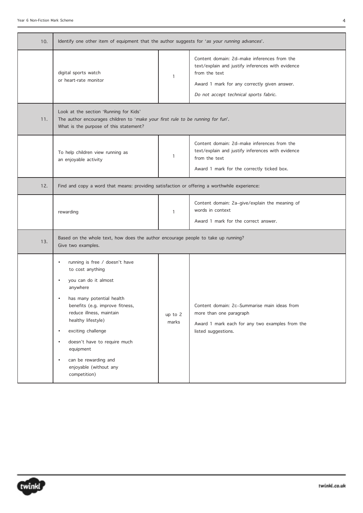| 10. | Identify one other item of equipment that the author suggests for 'as your running advances'.                                                                                                                                                                                                                                                                           |                    |                                                                                                                                                                                                             |
|-----|-------------------------------------------------------------------------------------------------------------------------------------------------------------------------------------------------------------------------------------------------------------------------------------------------------------------------------------------------------------------------|--------------------|-------------------------------------------------------------------------------------------------------------------------------------------------------------------------------------------------------------|
|     | digital sports watch<br>or heart-rate monitor                                                                                                                                                                                                                                                                                                                           | 1                  | Content domain: 2d-make inferences from the<br>text/explain and justify inferences with evidence<br>from the text<br>Award 1 mark for any correctly given answer.<br>Do not accept technical sports fabric. |
| 11. | Look at the section 'Running for Kids'<br>The author encourages children to 'make your first rule to be running for fun'.<br>What is the purpose of this statement?                                                                                                                                                                                                     |                    |                                                                                                                                                                                                             |
|     | To help children view running as<br>an enjoyable activity                                                                                                                                                                                                                                                                                                               | 1                  | Content domain: 2d-make inferences from the<br>text/explain and justify inferences with evidence<br>from the text<br>Award 1 mark for the correctly ticked box.                                             |
| 12. | Find and copy a word that means: providing satisfaction or offering a worthwhile experience:                                                                                                                                                                                                                                                                            |                    |                                                                                                                                                                                                             |
|     | rewarding                                                                                                                                                                                                                                                                                                                                                               | $\mathbf{1}$       | Content domain: 2a-give/explain the meaning of<br>words in context<br>Award 1 mark for the correct answer.                                                                                                  |
| 13. | Based on the whole text, how does the author encourage people to take up running?<br>Give two examples.                                                                                                                                                                                                                                                                 |                    |                                                                                                                                                                                                             |
|     | running is free / doesn't have<br>to cost anything<br>you can do it almost<br>anywhere<br>has many potential health<br>benefits (e.g. improve fitness,<br>reduce illness, maintain<br>healthy lifestyle)<br>exciting challenge<br>$\bullet$<br>doesn't have to require much<br>equipment<br>can be rewarding and<br>$\bullet$<br>enjoyable (without any<br>competition) | up to $2$<br>marks | Content domain: 2c-Summarise main ideas from<br>more than one paragraph<br>Award 1 mark each for any two examples from the<br>listed suggestions.                                                           |